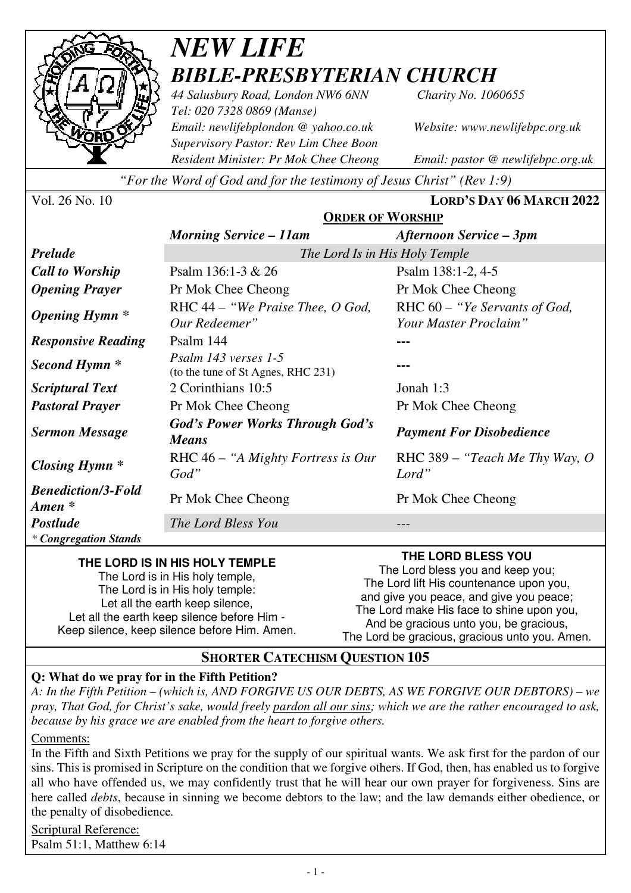

# *NEW LIFE BIBLE-PRESBYTERIAN CHURCH*

*44 Salusbury Road, London NW6 6NN Charity No. 1060655 Tel: 020 7328 0869 (Manse) Email: newlifebplondon @ yahoo.co.uk Website: www.newlifebpc.org.uk Supervisory Pastor: Rev Lim Chee Boon Resident Minister: Pr Mok Chee Cheong Email: pastor @ newlifebpc.org.uk* 

*"For the Word of God and for the testimony of Jesus Christ" (Rev 1:9)*

| Vol. 26 No. 10 |  |
|----------------|--|
|----------------|--|

Vol. 26 No. 10 **LORD'S DAY 06 MARCH 2022**

|                                                 | <b>ORDER OF WORSHIP</b>                                    |                                                          |  |
|-------------------------------------------------|------------------------------------------------------------|----------------------------------------------------------|--|
|                                                 | <b>Morning Service - 11am</b>                              | Afternoon Service – 3pm                                  |  |
| <b>Prelude</b>                                  | The Lord Is in His Holy Temple                             |                                                          |  |
| <b>Call to Worship</b>                          | Psalm 136:1-3 & 26                                         | Psalm 138:1-2, 4-5                                       |  |
| <b>Opening Prayer</b>                           | Pr Mok Chee Cheong                                         | Pr Mok Chee Cheong                                       |  |
| <b>Opening Hymn</b> *                           | RHC $44$ – "We Praise Thee, O God,<br>Our Redeemer"        | RHC $60 -$ "Ye Servants of God,<br>Your Master Proclaim" |  |
| <b>Responsive Reading</b>                       | Psalm 144                                                  |                                                          |  |
| Second Hymn *                                   | Psalm 143 verses 1-5<br>(to the tune of St Agnes, RHC 231) |                                                          |  |
| <i>Scriptural Text</i>                          | 2 Corinthians 10:5                                         | Jonah 1:3                                                |  |
| <b>Pastoral Prayer</b>                          | Pr Mok Chee Cheong                                         | Pr Mok Chee Cheong                                       |  |
| <b>Sermon Message</b>                           | <b>God's Power Works Through God's</b><br><b>Means</b>     | <b>Payment For Disobedience</b>                          |  |
| <b>Closing Hymn</b> *                           | RHC $46 -$ "A Mighty Fortress is Our<br>God"               | RHC 389 – "Teach Me Thy Way, O<br>Lord"                  |  |
| <b>Benediction/3-Fold</b><br>$A$ <i>men</i> $*$ | Pr Mok Chee Cheong                                         | Pr Mok Chee Cheong                                       |  |
| <b>Postlude</b>                                 | The Lord Bless You                                         |                                                          |  |
| <i>* Congregation Stands</i>                    |                                                            |                                                          |  |

#### **THE LORD IS IN HIS HOLY TEMPLE**

The Lord is in His holy temple, The Lord is in His holy temple: Let all the earth keep silence, Let all the earth keep silence before Him - Keep silence, keep silence before Him. Amen. **THE LORD BLESS YOU** 

The Lord bless you and keep you; The Lord lift His countenance upon you, and give you peace, and give you peace; The Lord make His face to shine upon you, And be gracious unto you, be gracious, The Lord be gracious, gracious unto you. Amen.

## **SHORTER CATECHISM QUESTION 105**

## **Q: What do we pray for in the Fifth Petition?**

*A: In the Fifth Petition – (which is, AND FORGIVE US OUR DEBTS, AS WE FORGIVE OUR DEBTORS) – we pray, That God, for Christ's sake, would freely pardon all our sins; which we are the rather encouraged to ask, because by his grace we are enabled from the heart to forgive others.* 

#### Comments:

In the Fifth and Sixth Petitions we pray for the supply of our spiritual wants. We ask first for the pardon of our sins. This is promised in Scripture on the condition that we forgive others. If God, then, has enabled us to forgive all who have offended us, we may confidently trust that he will hear our own prayer for forgiveness. Sins are here called *debts*, because in sinning we become debtors to the law; and the law demands either obedience, or the penalty of disobedience*.*

Scriptural Reference: Psalm 51:1, Matthew 6:14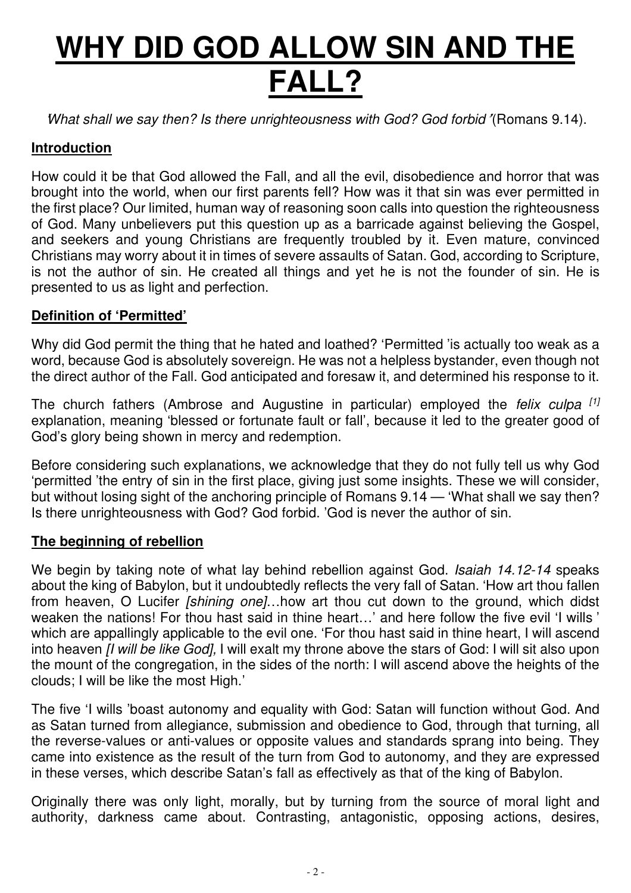# **WHY DID GOD ALLOW SIN AND THE FALL?**

**'**What shall we say then? Is there unrighteousness with God? God forbid**'** (Romans 9.14).

#### **Introduction**

How could it be that God allowed the Fall, and all the evil, disobedience and horror that was brought into the world, when our first parents fell? How was it that sin was ever permitted in the first place? Our limited, human way of reasoning soon calls into question the righteousness of God. Many unbelievers put this question up as a barricade against believing the Gospel, and seekers and young Christians are frequently troubled by it. Even mature, convinced Christians may worry about it in times of severe assaults of Satan. God, according to Scripture, is not the author of sin. He created all things and yet he is not the founder of sin. He is presented to us as light and perfection.

## **Definition of 'Permitted'**

Why did God permit the thing that he hated and loathed? 'Permitted 'is actually too weak as a word, because God is absolutely sovereign. He was not a helpless bystander, even though not the direct author of the Fall. God anticipated and foresaw it, and determined his response to it.

The church fathers (Ambrose and Augustine in particular) employed the felix culpa <sup>[1]</sup> explanation, meaning 'blessed or fortunate fault or fall', because it led to the greater good of God's glory being shown in mercy and redemption.

Before considering such explanations, we acknowledge that they do not fully tell us why God 'permitted 'the entry of sin in the first place, giving just some insights. These we will consider, but without losing sight of the anchoring principle of Romans 9.14 — 'What shall we say then? Is there unrighteousness with God? God forbid. 'God is never the author of sin.

#### **The beginning of rebellion**

We begin by taking note of what lay behind rebellion against God. Isaiah 14.12-14 speaks about the king of Babylon, but it undoubtedly reflects the very fall of Satan. 'How art thou fallen from heaven, O Lucifer *[shining one]...how* art thou cut down to the ground, which didst weaken the nations! For thou hast said in thine heart...' and here follow the five evil 'I wills ' which are appallingly applicable to the evil one. 'For thou hast said in thine heart, I will ascend into heaven *[I will be like God]*, I will exalt my throne above the stars of God: I will sit also upon the mount of the congregation, in the sides of the north: I will ascend above the heights of the clouds; I will be like the most High. '

The five 'I wills 'boast autonomy and equality with God: Satan will function without God. And as Satan turned from allegiance, submission and obedience to God, through that turning, all the reverse-values or anti-values or opposite values and standards sprang into being. They came into existence as the result of the turn from God to autonomy, and they are expressed in these verses, which describe Satan's fall as effectively as that of the king of Babylon.

Originally there was only light, morally, but by turning from the source of moral light and authority, darkness came about. Contrasting, antagonistic, opposing actions, desires,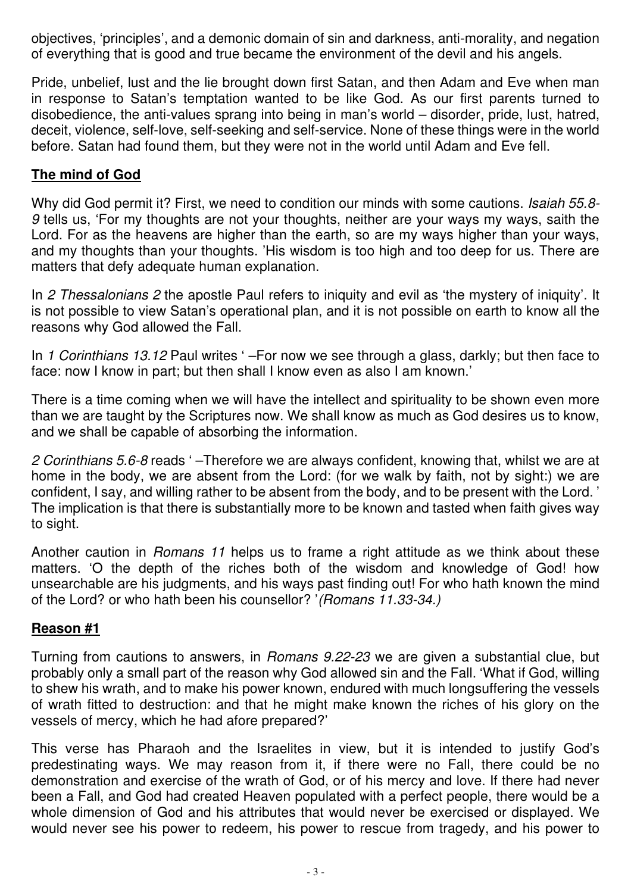objectives, 'principles', and a demonic domain of sin and darkness, anti-morality, and negation of everything that is good and true became the environment of the devil and his angels.

Pride, unbelief, lust and the lie brought down first Satan, and then Adam and Eve when man in response to Satan's temptation wanted to be like God. As our first parents turned to disobedience, the anti-values sprang into being in man 's world – disorder, pride, lust, hatred, deceit, violence, self-love, self-seeking and self-service. None of these things were in the world before. Satan had found them, but they were not in the world until Adam and Eve fell.

## **The mind of God**

Why did God permit it? First, we need to condition our minds with some cautions. Isaiah 55.8-9 tells us, 'For my thoughts are not your thoughts, neither are your ways my ways, saith the Lord. For as the heavens are higher than the earth, so are my ways higher than your ways, and my thoughts than your thoughts. 'His wisdom is too high and too deep for us. There are matters that defy adequate human explanation.

In 2 Thessalonians 2 the apostle Paul refers to iniquity and evil as 'the mystery of iniquity'. It is not possible to view Satan's operational plan, and it is not possible on earth to know all the reasons why God allowed the Fall.

In 1 Corinthians 13.12 Paul writes  $-$  For now we see through a glass, darkly; but then face to face: now I know in part; but then shall I know even as also I am known. '

There is a time coming when we will have the intellect and spirituality to be shown even more than we are taught by the Scriptures now. We shall know as much as God desires us to know, and we shall be capable of absorbing the information.

2 Corinthians 5.6-8 reads '-Therefore we are always confident, knowing that, whilst we are at home in the body, we are absent from the Lord: (for we walk by faith, not by sight:) we are confident, I say, and willing rather to be absent from the body, and to be present with the Lord. ' The implication is that there is substantially more to be known and tasted when faith gives way to sight.

Another caution in *Romans 11* helps us to frame a right attitude as we think about these matters. 'O the depth of the riches both of the wisdom and knowledge of God! how unsearchable are his judgments, and his ways past finding out! For who hath known the mind of the Lord? or who hath been his counsellor? '(Romans 11.33-34.)

## **Reason #1**

Turning from cautions to answers, in *Romans 9.22-23* we are given a substantial clue, but probably only a small part of the reason why God allowed sin and the Fall. 'What if God, willing to shew his wrath, and to make his power known, endured with much longsuffering the vessels of wrath fitted to destruction: and that he might make known the riches of his glory on the vessels of mercy, which he had afore prepared? '

This verse has Pharaoh and the Israelites in view, but it is intended to justify God's predestinating ways. We may reason from it, if there were no Fall, there could be no demonstration and exercise of the wrath of God, or of his mercy and love. If there had never been a Fall, and God had created Heaven populated with a perfect people, there would be a whole dimension of God and his attributes that would never be exercised or displayed. We would never see his power to redeem, his power to rescue from tragedy, and his power to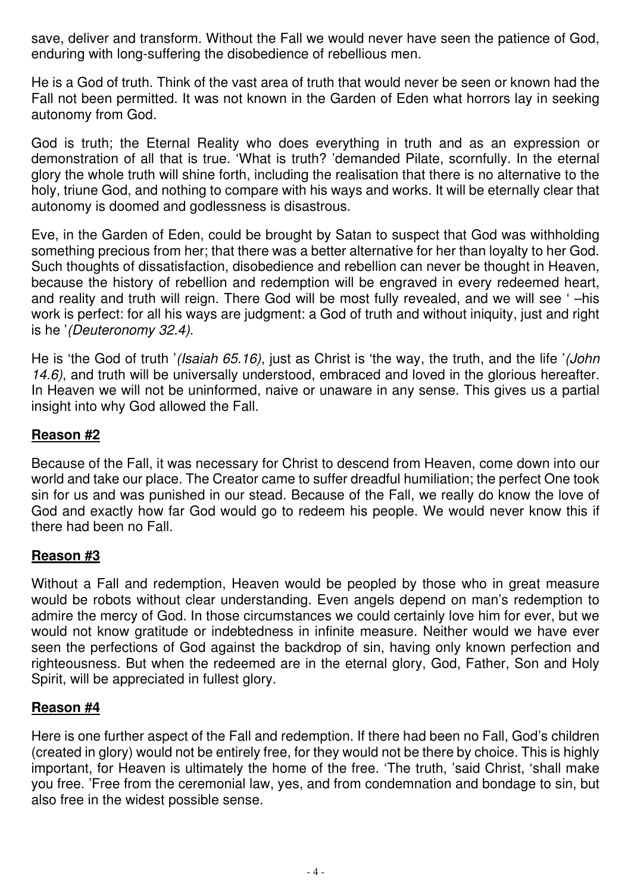save, deliver and transform. Without the Fall we would never have seen the patience of God, enduring with long-suffering the disobedience of rebellious men.

He is a God of truth. Think of the vast area of truth that would never be seen or known had the Fall not been permitted. It was not known in the Garden of Eden what horrors lay in seeking autonomy from God.

God is truth; the Eternal Reality who does everything in truth and as an expression or demonstration of all that is true. 'What is truth? 'demanded Pilate, scornfully. In the eternal glory the whole truth will shine forth, including the realisation that there is no alternative to the holy, triune God, and nothing to compare with his ways and works. It will be eternally clear that autonomy is doomed and godlessness is disastrous.

Eve, in the Garden of Eden, could be brought by Satan to suspect that God was withholding something precious from her; that there was a better alternative for her than loyalty to her God. Such thoughts of dissatisfaction, disobedience and rebellion can never be thought in Heaven, because the history of rebellion and redemption will be engraved in every redeemed heart, and reality and truth will reign. There God will be most fully revealed, and we will see '-his work is perfect: for all his ways are judgment: a God of truth and without iniquity, just and right is he '(Deuteronomy 32.4).

He is 'the God of truth '(Isaiah 65.16), just as Christ is 'the way, the truth, and the life '(John 14.6), and truth will be universally understood, embraced and loved in the glorious hereafter. In Heaven we will not be uninformed, naive or unaware in any sense. This gives us a partial insight into why God allowed the Fall.

# **Reason #2**

Because of the Fall, it was necessary for Christ to descend from Heaven, come down into our world and take our place. The Creator came to suffer dreadful humiliation; the perfect One took sin for us and was punished in our stead. Because of the Fall, we really do know the love of God and exactly how far God would go to redeem his people. We would never know this if there had been no Fall.

## **Reason #3**

Without a Fall and redemption, Heaven would be peopled by those who in great measure would be robots without clear understanding. Even angels depend on man's redemption to admire the mercy of God. In those circumstances we could certainly love him for ever, but we would not know gratitude or indebtedness in infinite measure. Neither would we have ever seen the perfections of God against the backdrop of sin, having only known perfection and righteousness. But when the redeemed are in the eternal glory, God, Father, Son and Holy Spirit, will be appreciated in fullest glory.

#### **Reason #4**

Here is one further aspect of the Fall and redemption. If there had been no Fall, God 's children (created in glory) would not be entirely free, for they would not be there by choice. This is highly important, for Heaven is ultimately the home of the free. 'The truth, 'said Christ, 'shall make you free. 'Free from the ceremonial law, yes, and from condemnation and bondage to sin, but also free in the widest possible sense.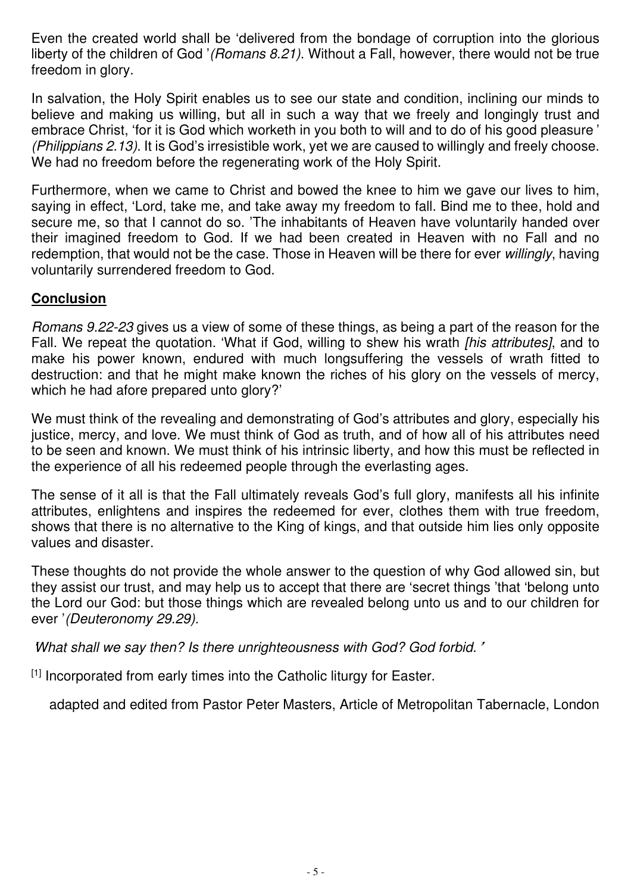Even the created world shall be 'delivered from the bondage of corruption into the glorious liberty of the children of God '(Romans 8.21). Without a Fall, however, there would not be true freedom in glory.

In salvation, the Holy Spirit enables us to see our state and condition, inclining our minds to believe and making us willing, but all in such a way that we freely and longingly trust and embrace Christ, 'for it is God which worketh in you both to will and to do of his good pleasure ' (Philippians 2.13). It is God's irresistible work, yet we are caused to willingly and freely choose. We had no freedom before the regenerating work of the Holy Spirit.

Furthermore, when we came to Christ and bowed the knee to him we gave our lives to him, saying in effect, 'Lord, take me, and take away my freedom to fall. Bind me to thee, hold and secure me, so that I cannot do so. 'The inhabitants of Heaven have voluntarily handed over their imagined freedom to God. If we had been created in Heaven with no Fall and no redemption, that would not be the case. Those in Heaven will be there for ever willingly, having voluntarily surrendered freedom to God.

## **Conclusion**

Romans 9.22-23 gives us a view of some of these things, as being a part of the reason for the Fall. We repeat the quotation. 'What if God, willing to shew his wrath *[his attributes]*, and to make his power known, endured with much longsuffering the vessels of wrath fitted to destruction: and that he might make known the riches of his glory on the vessels of mercy, which he had afore prepared unto glory?'

We must think of the revealing and demonstrating of God's attributes and glory, especially his justice, mercy, and love. We must think of God as truth, and of how all of his attributes need to be seen and known. We must think of his intrinsic liberty, and how this must be reflected in the experience of all his redeemed people through the everlasting ages.

The sense of it all is that the Fall ultimately reveals God's full glory, manifests all his infinite attributes, enlightens and inspires the redeemed for ever, clothes them with true freedom, shows that there is no alternative to the King of kings, and that outside him lies only opposite values and disaster.

These thoughts do not provide the whole answer to the question of why God allowed sin, but they assist our trust, and may help us to accept that there are 'secret things 'that 'belong unto the Lord our God: but those things which are revealed belong unto us and to our children for ever '(Deuteronomy 29.29).

**'**What shall we say then? Is there unrighteousness with God? God forbid. **'**

[1] Incorporated from early times into the Catholic liturgy for Easter.

adapted and edited from Pastor Peter Masters, Article of Metropolitan Tabernacle, London